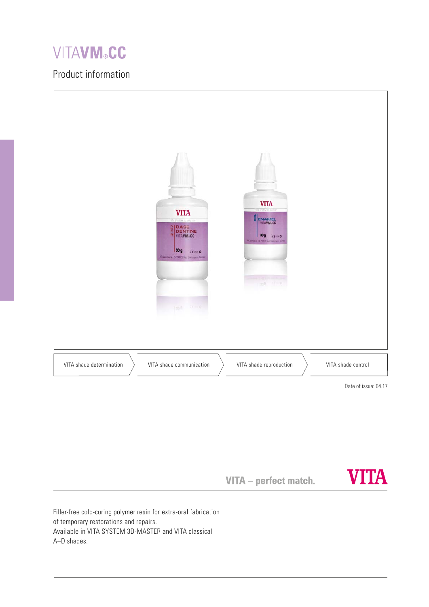# **VITAVM®CC**

# Product information



VITA - perfect match.



Filler-free cold-curing polymer resin for extra-oral fabrication of temporary restorations and repairs. Available in VITA SYSTEM 3D-MASTER and VITA classical A–D shades.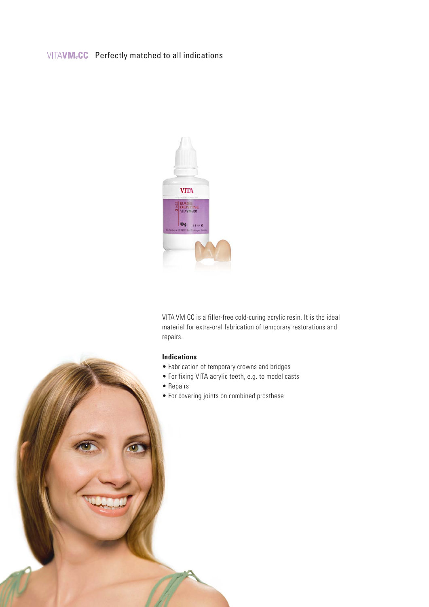# VITAVM.CC Perfectly matched to all indications



VITA VM CC is a filler-free cold-curing acrylic resin. It is the ideal material for extra-oral fabrication of temporary restorations and repairs.

#### **Indications**

- Fabrication of temporary crowns and bridges
- For fixing VITA acrylic teeth, e.g. to model casts
- Repairs
- For covering joints on combined prosthese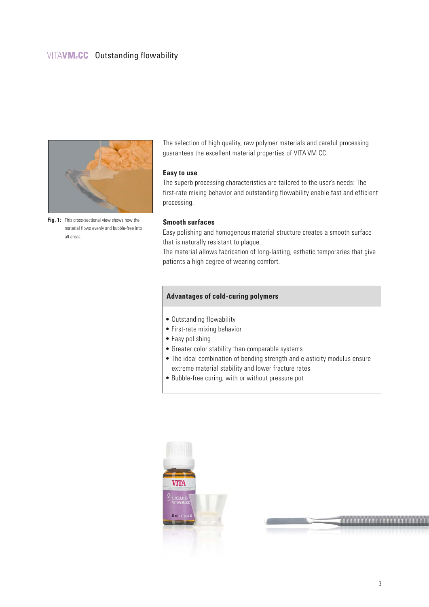### VITAVM.CC Outstanding flowability



Fig. 1: This cross-sectional view shows how the material flows evenly and bubble-free into all areas.

The selection of high quality, raw polymer materials and careful processing guarantees the excellent material properties of VITA VM CC.

#### **Easy to use**

The superb processing characteristics are tailored to the user's needs: The first-rate mixing behavior and outstanding flowability enable fast and efficient processing.

#### **Smooth surfaces**

Easy polishing and homogenous material structure creates a smooth surface that is naturally resistant to plaque.

The material allows fabrication of long-lasting, esthetic temporaries that give patients a high degree of wearing comfort.

#### **Advantages of cold-curing polymers**

- Outstanding flowability
- First-rate mixing behavior
- Easy polishing
- Greater color stability than comparable systems
- The ideal combination of bending strength and elasticity modulus ensure extreme material stability and lower fracture rates
- Bubble-free curing, with or without pressure pot



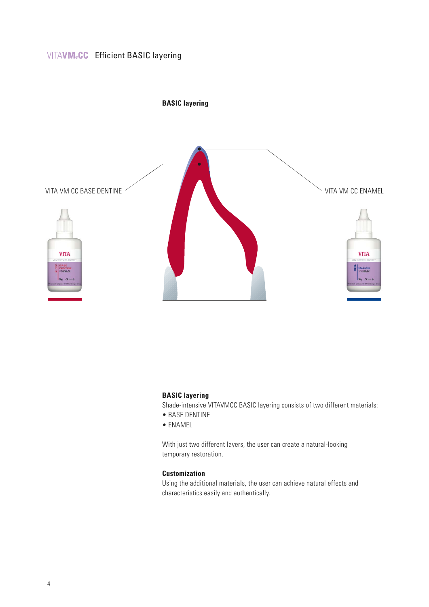# VITAVM.CC Efficient BASIC layering



## **BASIC layering**

Shade-intensive VITAVMCC BASIC layering consists of two different materials:

- BASE DENTINE
- ENAMEL

With just two different layers, the user can create a natural-looking temporary restoration.

#### **Customization**

Using the additional materials, the user can achieve natural effects and characteristics easily and authentically.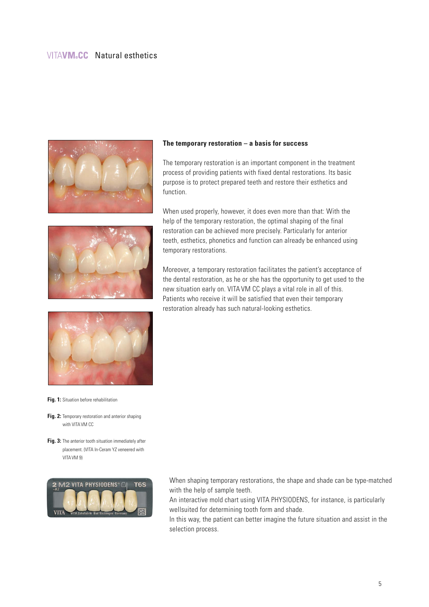### VITAVM.CC Natural esthetics



#### **The temporary restoration – a basis for success**

The temporary restoration is an important component in the treatment process of providing patients with fixed dental restorations. Its basic purpose is to protect prepared teeth and restore their esthetics and function.

When used properly, however, it does even more than that: With the



help of the temporary restoration, the optimal shaping of the final restoration can be achieved more precisely. Particularly for anterior teeth, esthetics, phonetics and function can already be enhanced using temporary restorations.

Moreover, a temporary restoration facilitates the patient's acceptance of the dental restoration, as he or she has the opportunity to get used to the new situation early on. VITA VM CC plays a vital role in all of this. Patients who receive it will be satisfied that even their temporary restoration already has such natural-looking esthetics.



**Fig. 1:** Situation before rehabilitation

**Fig. 2:** Temporary restoration and anterior shaping with VITA VM CC

**Fig. 3:** The anterior tooth situation immediately after placement. (VITA In-Ceram YZ veneered with VITAVM 9)



When shaping temporary restorations, the shape and shade can be type-matched with the help of sample teeth.

An interactive mold chart using VITA PHYSIODENS, for instance, is particularly wellsuited for determining tooth form and shade.

In this way, the patient can better imagine the future situation and assist in the selection process.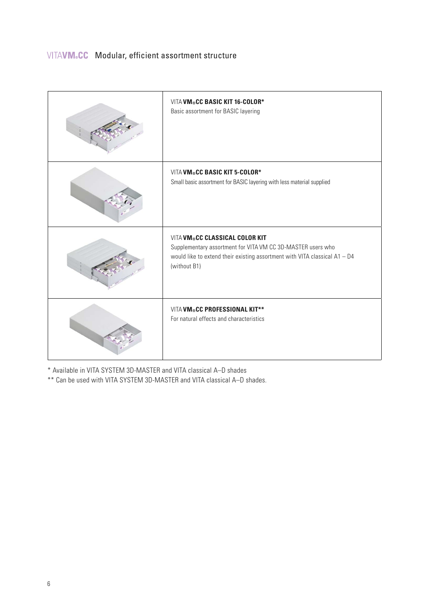| VITA VM®CC BASIC KIT 16-COLOR*<br>Basic assortment for BASIC layering                                                                                                                         |
|-----------------------------------------------------------------------------------------------------------------------------------------------------------------------------------------------|
| VITA VM®CC BASIC KIT 5-COLOR*<br>Small basic assortment for BASIC layering with less material supplied                                                                                        |
| VITA VM®CC CLASSICAL COLOR KIT<br>Supplementary assortment for VITA VM CC 3D-MASTER users who<br>would like to extend their existing assortment with VITA classical $A1 - D4$<br>(without B1) |
| VITA VM®CC PROFESSIONAL KIT**<br>For natural effects and characteristics                                                                                                                      |

\* Available in VITA SYSTEM 3D-MASTER and VITA classical A–D shades

\*\* Can be used with VITA SYSTEM 3D-MASTER and VITA classical A–D shades.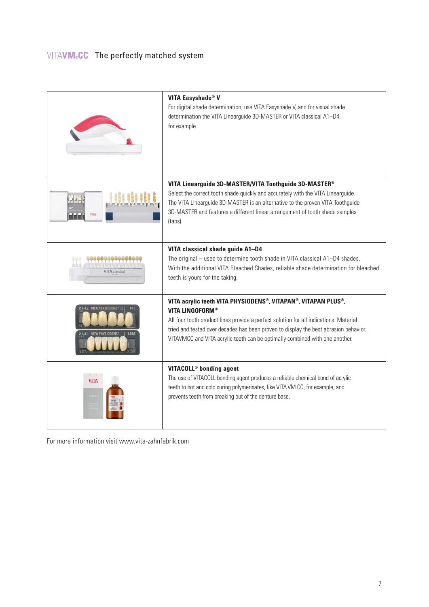|                                   | <b>VITA Easyshade® V</b><br>For digital shade determination, use VITA Easyshade V, and for visual shade<br>determination the VITA Linearguide 3D-MASTER or VITA classical A1-D4,<br>for example.                                                                                                                                                        |
|-----------------------------------|---------------------------------------------------------------------------------------------------------------------------------------------------------------------------------------------------------------------------------------------------------------------------------------------------------------------------------------------------------|
| <b>VITA</b>                       | VITA Linearguide 3D-MASTER/VITA Toothguide 3D-MASTER®<br>Select the correct tooth shade quickly and accurately with the VITA Linearguide.<br>The VITA Linearguide 3D-MASTER is an alternative to the proven VITA Toothguide<br>3D-MASTER and features a different linear arrangement of tooth shade samples<br>(tabs).                                  |
| <b>.</b><br><b>VITA</b> classical | VITA classical shade guide A1-D4<br>The original – used to determine tooth shade in VITA classical A1-D4 shades.<br>With the additional VITA Bleached Shades, reliable shade determination for bleached<br>teeth is yours for the taking.                                                                                                               |
| VITA PHYSIODENS                   | VITA acrylic teeth VITA PHYSIODENS®, VITAPAN®, VITAPAN PLUS®,<br><b>VITA LINGOFORM®</b><br>All four tooth product lines provide a perfect solution for all indications. Material<br>tried and tested over decades has been proven to display the best abrasion behavior.<br>VITAVMCC and VITA acrylic teeth can be optimally combined with one another. |
| <b>VITA</b>                       | VITACOLL <sup>®</sup> bonding agent<br>The use of VITACOLL bonding agent produces a reliable chemical bond of acrylic<br>teeth to hot and cold curing polymerisates, like VITA VM CC, for example, and<br>prevents teeth from breaking out of the denture base.                                                                                         |

For more information visit www.vita-zahnfabrik.com